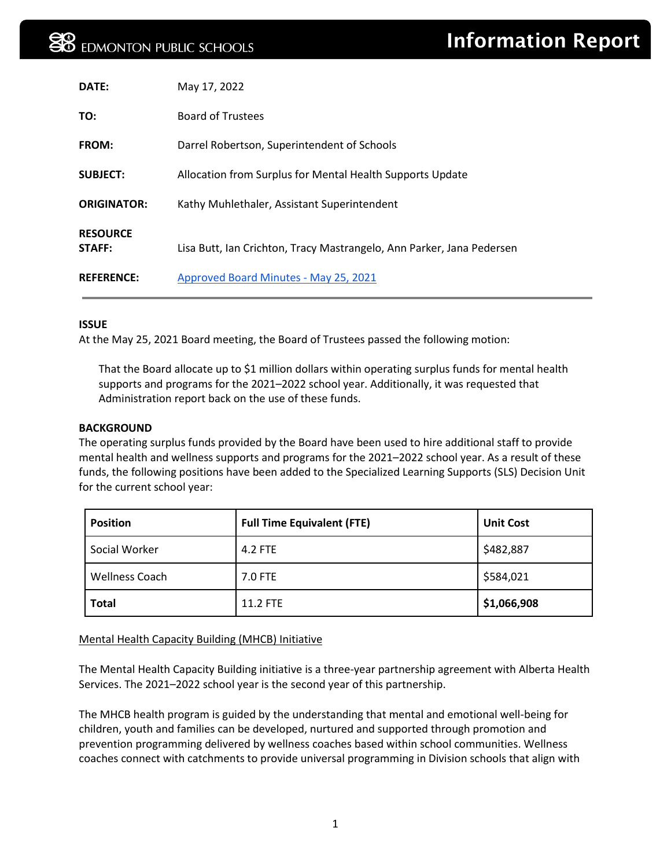| DATE:                     | May 17, 2022                                                          |
|---------------------------|-----------------------------------------------------------------------|
| TO:                       | <b>Board of Trustees</b>                                              |
| <b>FROM:</b>              | Darrel Robertson, Superintendent of Schools                           |
| <b>SUBJECT:</b>           | Allocation from Surplus for Mental Health Supports Update             |
| <b>ORIGINATOR:</b>        | Kathy Muhlethaler, Assistant Superintendent                           |
| <b>RESOURCE</b><br>STAFF: | Lisa Butt, Ian Crichton, Tracy Mastrangelo, Ann Parker, Jana Pedersen |
| <b>REFERENCE:</b>         | Approved Board Minutes - May 25, 2021                                 |

#### **ISSUE**

At the May 25, 2021 Board meeting, the Board of Trustees passed the following motion:

That the Board allocate up to \$1 million dollars within operating surplus funds for mental health supports and programs for the 2021–2022 school year. Additionally, it was requested that Administration report back on the use of these funds.

#### **BACKGROUND**

The operating surplus funds provided by the Board have been used to hire additional staff to provide mental health and wellness supports and programs for the 2021–2022 school year. As a result of these funds, the following positions have been added to the Specialized Learning Supports (SLS) Decision Unit for the current school year:

| <b>Position</b>       | <b>Full Time Equivalent (FTE)</b> | <b>Unit Cost</b> |
|-----------------------|-----------------------------------|------------------|
| Social Worker         | 4.2 FTE                           | \$482,887        |
| <b>Wellness Coach</b> | 7.0 FTE                           | \$584,021        |
| <b>Total</b>          | 11.2 FTE                          | \$1,066,908      |

# Mental Health Capacity Building (MHCB) Initiative

The Mental Health Capacity Building initiative is a three-year partnership agreement with Alberta Health Services. The 2021–2022 school year is the second year of this partnership.

The MHCB health program is guided by the understanding that mental and emotional well-being for children, youth and families can be developed, nurtured and supported through promotion and prevention programming delivered by wellness coaches based within school communities. Wellness coaches connect with catchments to provide universal programming in Division schools that align with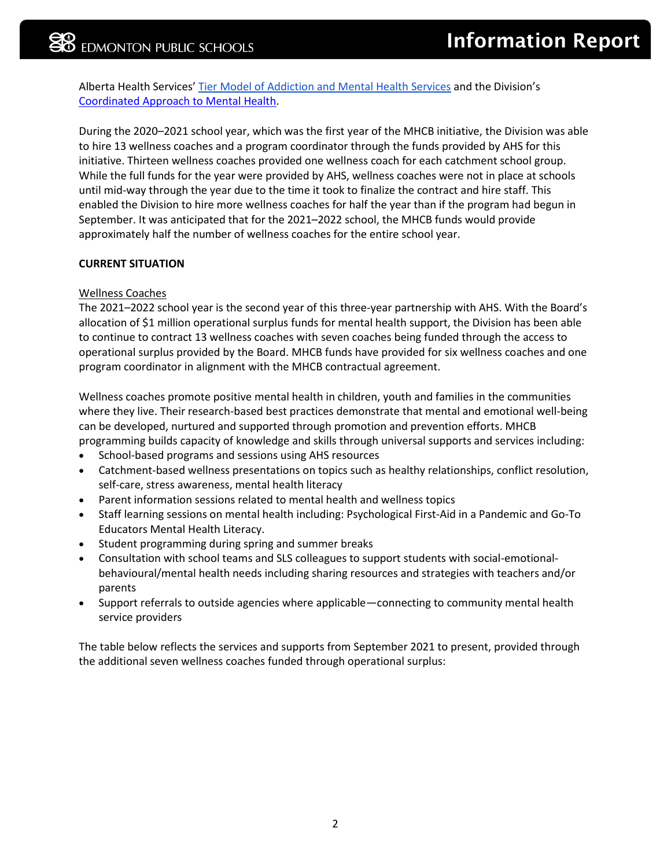Alberta Health Services' [Tier Model of Addiction and Mental Health](https://drive.google.com/file/d/1rFlELCtUqzldwbcKoj86evrwQ-0QUGQZ/view?usp=sharing) Services and the Division's [Coordinated Approach to Mental Health.](https://epsb.ca/media/epsb/ourdistrict/topicsofinterest/mentalhealth/Mentalhealthinourschools.pdf)

During the 2020–2021 school year, which was the first year of the MHCB initiative, the Division was able to hire 13 wellness coaches and a program coordinator through the funds provided by AHS for this initiative. Thirteen wellness coaches provided one wellness coach for each catchment school group. While the full funds for the year were provided by AHS, wellness coaches were not in place at schools until mid-way through the year due to the time it took to finalize the contract and hire staff. This enabled the Division to hire more wellness coaches for half the year than if the program had begun in September. It was anticipated that for the 2021–2022 school, the MHCB funds would provide approximately half the number of wellness coaches for the entire school year.

## **CURRENT SITUATION**

## Wellness Coaches

The 2021–2022 school year is the second year of this three-year partnership with AHS. With the Board's allocation of \$1 million operational surplus funds for mental health support, the Division has been able to continue to contract 13 wellness coaches with seven coaches being funded through the access to operational surplus provided by the Board. MHCB funds have provided for six wellness coaches and one program coordinator in alignment with the MHCB contractual agreement.

Wellness coaches promote positive mental health in children, youth and families in the communities where they live. Their research-based best practices demonstrate that mental and emotional well-being can be developed, nurtured and supported through promotion and prevention efforts. MHCB programming builds capacity of knowledge and skills through universal supports and services including:

- School-based programs and sessions using AHS resources
- Catchment-based wellness presentations on topics such as healthy relationships, conflict resolution, self-care, stress awareness, mental health literacy
- Parent information sessions related to mental health and wellness topics
- Staff learning sessions on mental health including: Psychological First-Aid in a Pandemic and Go-To Educators Mental Health Literacy.
- Student programming during spring and summer breaks
- Consultation with school teams and SLS colleagues to support students with social-emotionalbehavioural/mental health needs including sharing resources and strategies with teachers and/or parents
- Support referrals to outside agencies where applicable—connecting to community mental health service providers

The table below reflects the services and supports from September 2021 to present, provided through the additional seven wellness coaches funded through operational surplus: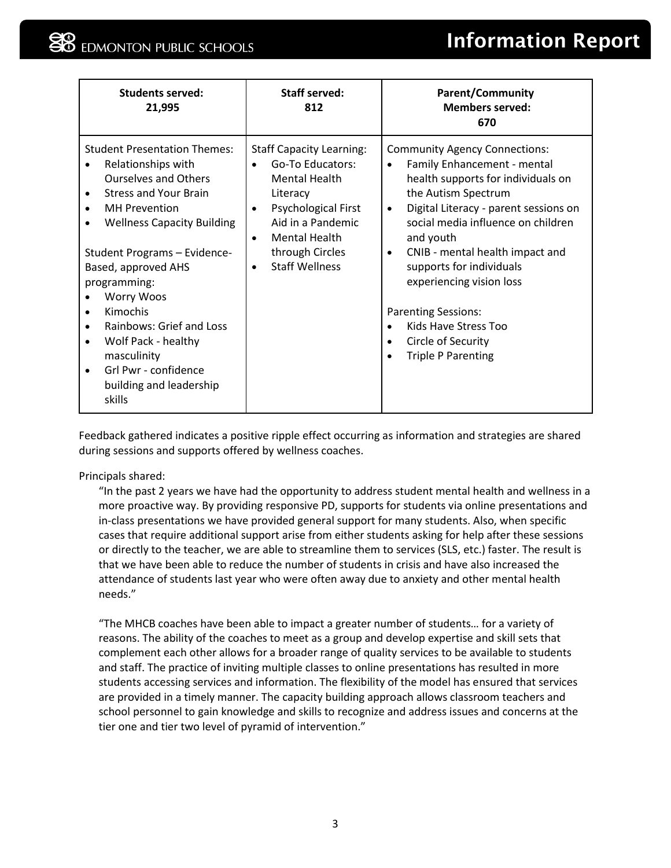# **EDMONTON PUBLIC SCHOOLS**

# Information Report

| <b>Students served:</b><br>21,995                                                                                                                                                                                                                                                                                                                                                                                                                                                                                              | <b>Staff served:</b><br>812                                                                                                                                                                                                                                        | <b>Parent/Community</b><br><b>Members served:</b><br>670                                                                                                                                                                                                                                                                                                                                                                                                                             |
|--------------------------------------------------------------------------------------------------------------------------------------------------------------------------------------------------------------------------------------------------------------------------------------------------------------------------------------------------------------------------------------------------------------------------------------------------------------------------------------------------------------------------------|--------------------------------------------------------------------------------------------------------------------------------------------------------------------------------------------------------------------------------------------------------------------|--------------------------------------------------------------------------------------------------------------------------------------------------------------------------------------------------------------------------------------------------------------------------------------------------------------------------------------------------------------------------------------------------------------------------------------------------------------------------------------|
| <b>Student Presentation Themes:</b><br>Relationships with<br><b>Ourselves and Others</b><br><b>Stress and Your Brain</b><br>$\bullet$<br><b>MH</b> Prevention<br>$\bullet$<br><b>Wellness Capacity Building</b><br>$\bullet$<br>Student Programs - Evidence-<br>Based, approved AHS<br>programming:<br><b>Worry Woos</b><br>Kimochis<br>$\bullet$<br><b>Rainbows: Grief and Loss</b><br>$\bullet$<br>Wolf Pack - healthy<br>$\bullet$<br>masculinity<br>Grl Pwr - confidence<br>$\bullet$<br>building and leadership<br>skills | <b>Staff Capacity Learning:</b><br>Go-To Educators:<br>$\bullet$<br><b>Mental Health</b><br>Literacy<br><b>Psychological First</b><br>$\bullet$<br>Aid in a Pandemic<br><b>Mental Health</b><br>$\bullet$<br>through Circles<br><b>Staff Wellness</b><br>$\bullet$ | <b>Community Agency Connections:</b><br>Family Enhancement - mental<br>$\bullet$<br>health supports for individuals on<br>the Autism Spectrum<br>Digital Literacy - parent sessions on<br>$\bullet$<br>social media influence on children<br>and youth<br>CNIB - mental health impact and<br>$\bullet$<br>supports for individuals<br>experiencing vision loss<br><b>Parenting Sessions:</b><br>Kids Have Stress Too<br>Circle of Security<br>$\bullet$<br><b>Triple P Parenting</b> |

Feedback gathered indicates a positive ripple effect occurring as information and strategies are shared during sessions and supports offered by wellness coaches.

Principals shared:

"In the past 2 years we have had the opportunity to address student mental health and wellness in a more proactive way. By providing responsive PD, supports for students via online presentations and in-class presentations we have provided general support for many students. Also, when specific cases that require additional support arise from either students asking for help after these sessions or directly to the teacher, we are able to streamline them to services (SLS, etc.) faster. The result is that we have been able to reduce the number of students in crisis and have also increased the attendance of students last year who were often away due to anxiety and other mental health needs."

"The MHCB coaches have been able to impact a greater number of students… for a variety of reasons. The ability of the coaches to meet as a group and develop expertise and skill sets that complement each other allows for a broader range of quality services to be available to students and staff. The practice of inviting multiple classes to online presentations has resulted in more students accessing services and information. The flexibility of the model has ensured that services are provided in a timely manner. The capacity building approach allows classroom teachers and school personnel to gain knowledge and skills to recognize and address issues and concerns at the tier one and tier two level of pyramid of intervention."